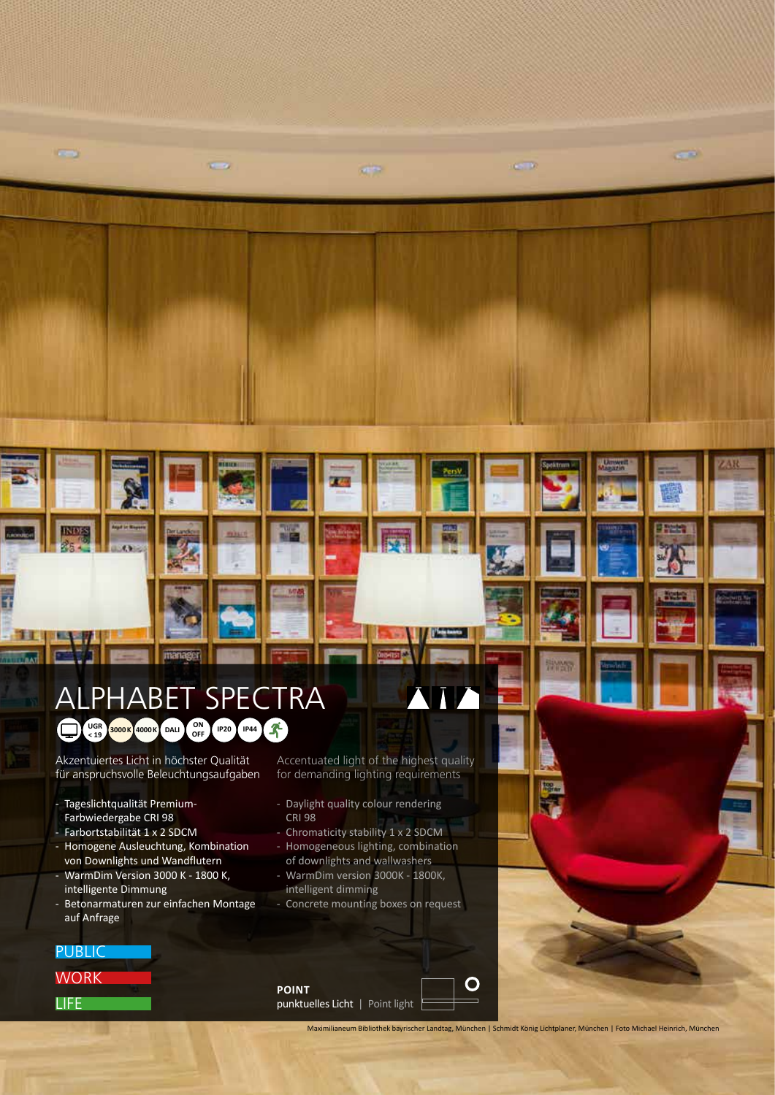## ALPHABET SPECTRA **UGR 3000 K 4000 K DALI OFF IP20 IP44**

manages

 $x = x$ 

Akzentuiertes Licht in höchster Qualität für anspruchsvolle Beleuchtungsaufgaben

- Tageslichtqualität Premium-Farbwiedergabe CRI 98
- Farbortstabilität 1 x 2 SDCM
- Homogene Ausleuchtung, Kombination von Downlights und Wandflutern
- WarmDim Version 3000 K 1800 K, intelligente Dimmung
- Betonarmaturen zur einfachen Montage auf Anfrage

Accentuated light of the highest quality for demanding lighting requirements

**IV** 

 $\sqrt{2}$ 

- Daylight quality colour rendering CRI 98
- Chromaticity stability 1 x 2 SDCM
- Homogeneous lighting, combination of downlights and wallwashers
- WarmDim version 3000K 1800K, intelligent dimming
- Concrete mounting boxes on request

WORK **LIFE PUBLIC** 

 $\sim$ 

**TINTO** 

11

**POINT**  punktuelles Licht | Point light  $\left[\right]$ 

Maximilianeum Bibliothek bayrischer Landtag, München | Schmidt König Lichtplaner, München | Foto Michael Heinrich, München

 $\mathbf O$ 

 $\overline{a}$ 

 $C, D$